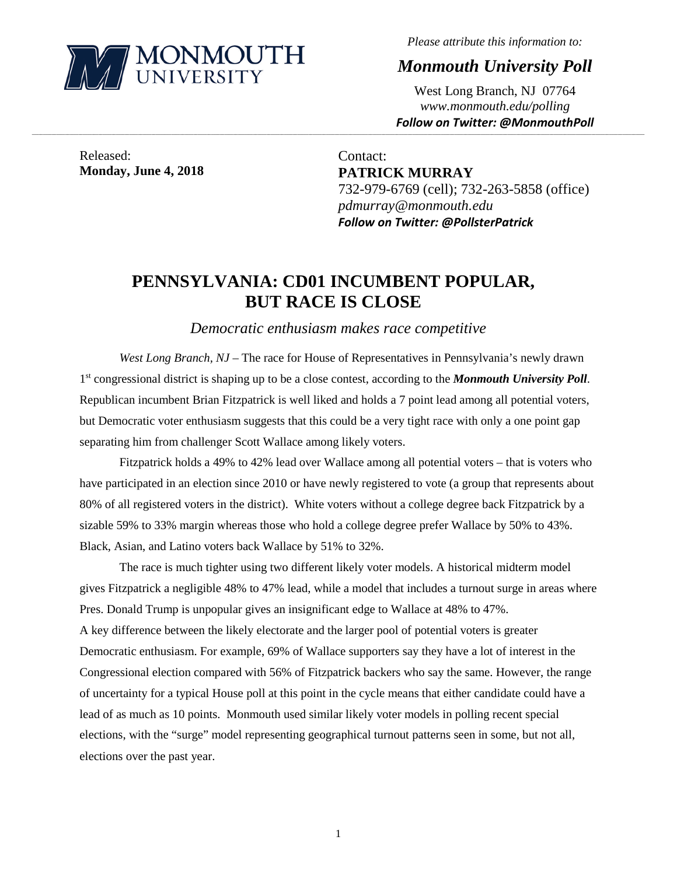

*Please attribute this information to:*

*Monmouth University Poll*

West Long Branch, NJ 07764 *www.monmouth.edu/polling Follow on Twitter: @MonmouthPoll*

Released: **Monday, June 4, 2018**

Contact: **PATRICK MURRAY** 732-979-6769 (cell); 732-263-5858 (office) *pdmurray@monmouth.edu Follow on Twitter: @PollsterPatrick*

# **PENNSYLVANIA: CD01 INCUMBENT POPULAR, BUT RACE IS CLOSE**

**\_\_\_\_\_\_\_\_\_\_\_\_\_\_\_\_\_\_\_\_\_\_\_\_\_\_\_\_\_\_\_\_\_\_\_\_\_\_\_\_\_\_\_\_\_\_\_\_\_\_\_\_\_\_\_\_\_\_\_\_\_\_\_\_\_\_\_\_\_\_\_\_\_\_\_\_\_\_\_\_\_\_\_\_\_\_\_\_\_\_\_\_\_\_\_\_\_\_\_\_\_\_\_\_\_\_\_\_\_\_\_\_\_\_\_\_\_\_\_\_\_\_\_\_\_\_\_\_\_\_\_\_\_\_\_\_\_\_\_\_\_\_\_\_\_\_\_\_\_\_\_\_\_\_\_\_\_\_\_\_\_\_\_\_\_\_\_\_\_\_\_\_\_\_\_\_\_\_\_\_\_\_\_\_\_\_\_\_\_\_\_\_\_\_\_\_\_\_\_\_\_\_\_\_\_\_\_\_\_\_\_\_\_\_\_\_\_\_\_\_\_\_\_\_\_\_\_\_\_\_\_\_\_\_\_\_\_\_\_\_\_\_\_\_\_\_\_\_\_\_\_\_\_\_\_\_\_\_\_\_\_\_\_\_\_\_\_\_\_\_\_\_\_\_\_\_\_**

*Democratic enthusiasm makes race competitive*

*West Long Branch, NJ* – The race for House of Representatives in Pennsylvania's newly drawn 1st congressional district is shaping up to be a close contest, according to the *Monmouth University Poll*. Republican incumbent Brian Fitzpatrick is well liked and holds a 7 point lead among all potential voters, but Democratic voter enthusiasm suggests that this could be a very tight race with only a one point gap separating him from challenger Scott Wallace among likely voters.

Fitzpatrick holds a 49% to 42% lead over Wallace among all potential voters – that is voters who have participated in an election since 2010 or have newly registered to vote (a group that represents about 80% of all registered voters in the district). White voters without a college degree back Fitzpatrick by a sizable 59% to 33% margin whereas those who hold a college degree prefer Wallace by 50% to 43%. Black, Asian, and Latino voters back Wallace by 51% to 32%.

The race is much tighter using two different likely voter models. A historical midterm model gives Fitzpatrick a negligible 48% to 47% lead, while a model that includes a turnout surge in areas where Pres. Donald Trump is unpopular gives an insignificant edge to Wallace at 48% to 47%. A key difference between the likely electorate and the larger pool of potential voters is greater Democratic enthusiasm. For example, 69% of Wallace supporters say they have a lot of interest in the Congressional election compared with 56% of Fitzpatrick backers who say the same. However, the range of uncertainty for a typical House poll at this point in the cycle means that either candidate could have a lead of as much as 10 points. Monmouth used similar likely voter models in polling recent special elections, with the "surge" model representing geographical turnout patterns seen in some, but not all, elections over the past year.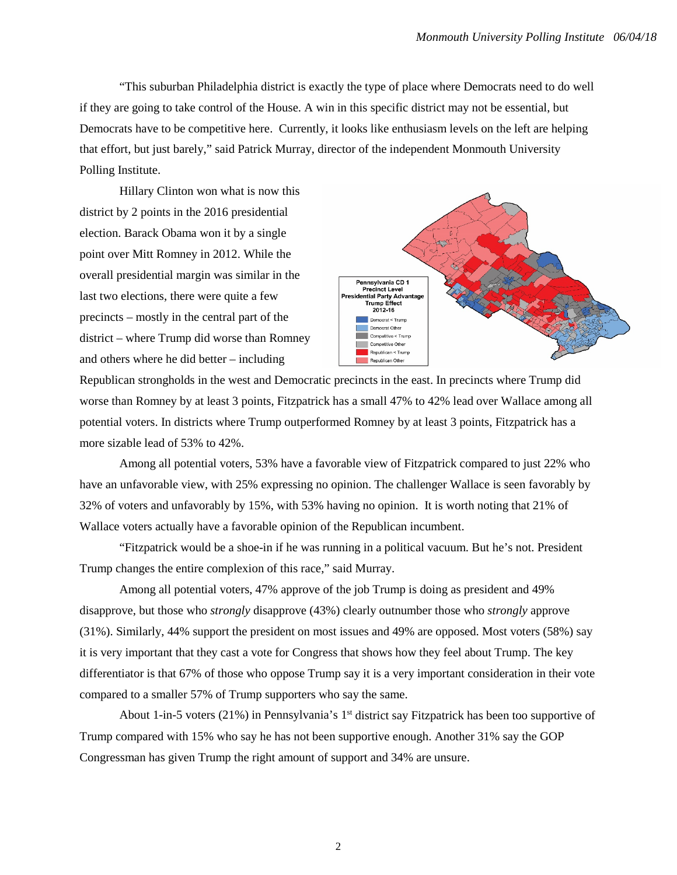"This suburban Philadelphia district is exactly the type of place where Democrats need to do well if they are going to take control of the House. A win in this specific district may not be essential, but Democrats have to be competitive here. Currently, it looks like enthusiasm levels on the left are helping that effort, but just barely," said Patrick Murray, director of the independent Monmouth University Polling Institute.

Hillary Clinton won what is now this district by 2 points in the 2016 presidential election. Barack Obama won it by a single point over Mitt Romney in 2012. While the overall presidential margin was similar in the last two elections, there were quite a few precincts – mostly in the central part of the district – where Trump did worse than Romney and others where he did better – including



Republican strongholds in the west and Democratic precincts in the east. In precincts where Trump did worse than Romney by at least 3 points, Fitzpatrick has a small 47% to 42% lead over Wallace among all potential voters. In districts where Trump outperformed Romney by at least 3 points, Fitzpatrick has a more sizable lead of 53% to 42%.

Among all potential voters, 53% have a favorable view of Fitzpatrick compared to just 22% who have an unfavorable view, with 25% expressing no opinion. The challenger Wallace is seen favorably by 32% of voters and unfavorably by 15%, with 53% having no opinion. It is worth noting that 21% of Wallace voters actually have a favorable opinion of the Republican incumbent.

"Fitzpatrick would be a shoe-in if he was running in a political vacuum. But he's not. President Trump changes the entire complexion of this race," said Murray.

Among all potential voters, 47% approve of the job Trump is doing as president and 49% disapprove, but those who *strongly* disapprove (43%) clearly outnumber those who *strongly* approve (31%). Similarly, 44% support the president on most issues and 49% are opposed. Most voters (58%) say it is very important that they cast a vote for Congress that shows how they feel about Trump. The key differentiator is that 67% of those who oppose Trump say it is a very important consideration in their vote compared to a smaller 57% of Trump supporters who say the same.

About 1-in-5 voters  $(21%)$  in Pennsylvania's 1<sup>st</sup> district say Fitzpatrick has been too supportive of Trump compared with 15% who say he has not been supportive enough. Another 31% say the GOP Congressman has given Trump the right amount of support and 34% are unsure.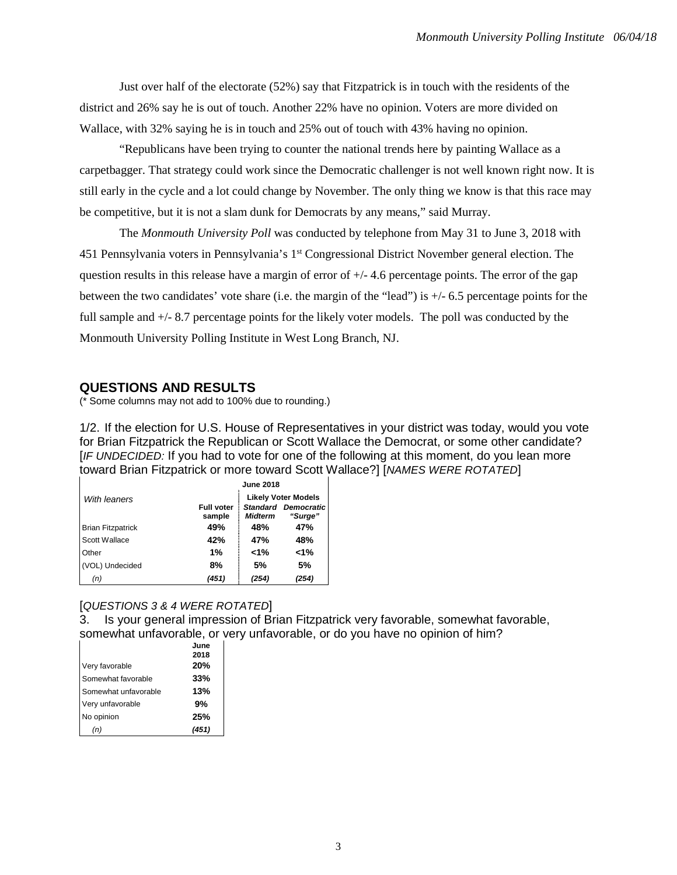Just over half of the electorate (52%) say that Fitzpatrick is in touch with the residents of the district and 26% say he is out of touch. Another 22% have no opinion. Voters are more divided on Wallace, with 32% saying he is in touch and 25% out of touch with 43% having no opinion.

"Republicans have been trying to counter the national trends here by painting Wallace as a carpetbagger. That strategy could work since the Democratic challenger is not well known right now. It is still early in the cycle and a lot could change by November. The only thing we know is that this race may be competitive, but it is not a slam dunk for Democrats by any means," said Murray.

The *Monmouth University Poll* was conducted by telephone from May 31 to June 3, 2018 with 451 Pennsylvania voters in Pennsylvania's 1<sup>st</sup> Congressional District November general election. The question results in this release have a margin of error of  $+/- 4.6$  percentage points. The error of the gap between the two candidates' vote share (i.e. the margin of the "lead") is +/- 6.5 percentage points for the full sample and  $+/- 8.7$  percentage points for the likely voter models. The poll was conducted by the Monmouth University Polling Institute in West Long Branch, NJ.

# **QUESTIONS AND RESULTS**

(\* Some columns may not add to 100% due to rounding.)

1/2. If the election for U.S. House of Representatives in your district was today, would you vote for Brian Fitzpatrick the Republican or Scott Wallace the Democrat, or some other candidate? [*IF UNDECIDED:* If you had to vote for one of the following at this moment, do you lean more toward Brian Fitzpatrick or more toward Scott Wallace?] [*NAMES WERE ROTATED*]

|                          |                             | <b>June 2018</b> |                                                              |
|--------------------------|-----------------------------|------------------|--------------------------------------------------------------|
| With leaners             | <b>Full voter</b><br>sample | <b>Midterm</b>   | <b>Likely Voter Models</b><br>Standard Democratic<br>"Surge" |
| <b>Brian Fitzpatrick</b> | 49%                         | 48%              | 47%                                                          |
| Scott Wallace            | 42%                         | 47%              | 48%                                                          |
| Other                    | 1%                          | $< 1\%$          | 1%>                                                          |
| (VOL) Undecided          | 8%                          | 5%               | 5%                                                           |
| (n)                      | (451)                       | (254)            | (254)                                                        |

## [*QUESTIONS 3 & 4 WERE ROTATED*]

3. Is your general impression of Brian Fitzpatrick very favorable, somewhat favorable, somewhat unfavorable, or very unfavorable, or do you have no opinion of him?

|                      | June  |
|----------------------|-------|
|                      | 2018  |
| Very favorable       | 20%   |
| Somewhat favorable   | 33%   |
| Somewhat unfavorable | 13%   |
| Very unfavorable     | 9%    |
| No opinion           | 25%   |
| (n)                  | (451) |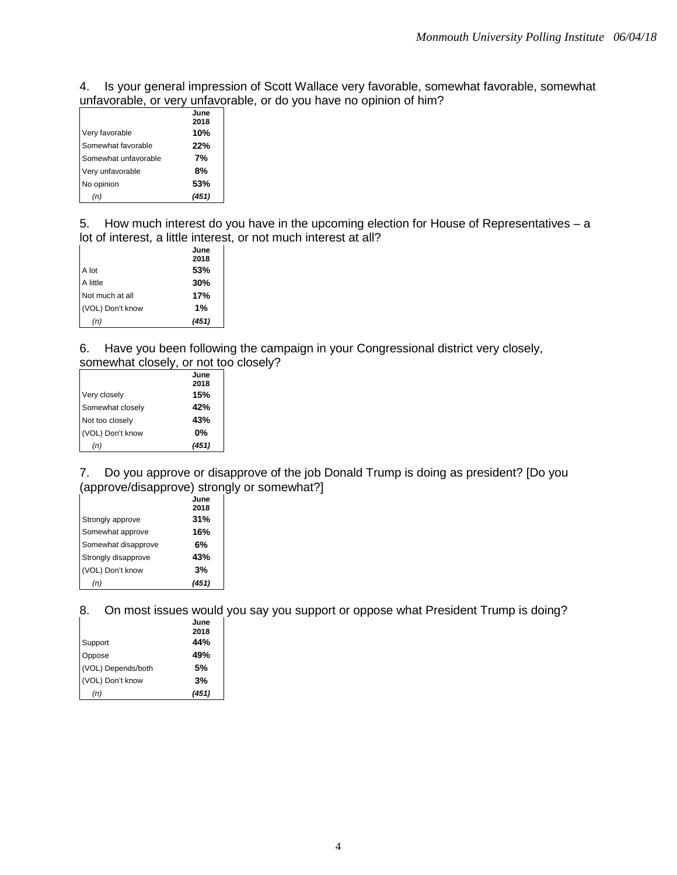4. Is your general impression of Scott Wallace very favorable, somewhat favorable, somewhat unfavorable, or very unfavorable, or do you have no opinion of him?

|                      | June<br>2018 |
|----------------------|--------------|
| Very favorable       | 10%          |
| Somewhat favorable   | 22%          |
| Somewhat unfavorable | 7%           |
| Very unfavorable     | 8%           |
| No opinion           | 53%          |
| (n)                  | (451)        |

5. How much interest do you have in the upcoming election for House of Representatives – a lot of interest, a little interest, or not much interest at all?

|                  | June  |
|------------------|-------|
|                  | 2018  |
| A lot            | 53%   |
| A little         | 30%   |
| Not much at all  | 17%   |
| (VOL) Don't know | 1%    |
| (n)              | (451) |

6. Have you been following the campaign in your Congressional district very closely, somewhat closely, or not too closely?

|                  | June<br>2018 |
|------------------|--------------|
| Very closely     | 15%          |
| Somewhat closely | 42%          |
| Not too closely  | 43%          |
| (VOL) Don't know | $0\%$        |
| (n)              | (451)        |

7. Do you approve or disapprove of the job Donald Trump is doing as president? [Do you (approve/disapprove) strongly or somewhat?]

|                     | June<br>2018 |
|---------------------|--------------|
| Strongly approve    | 31%          |
| Somewhat approve    | 16%          |
| Somewhat disapprove | 6%           |
| Strongly disapprove | 43%          |
| (VOL) Don't know    | 3%           |
| (n)                 | (451)        |

8. On most issues would you say you support or oppose what President Trump is doing?

|                    | June  |
|--------------------|-------|
|                    | 2018  |
|                    | 44%   |
| Support<br>Oppose  | 49%   |
| (VOL) Depends/both | .5%   |
| (VOL) Don't know   | 3%    |
| (n)                | (451) |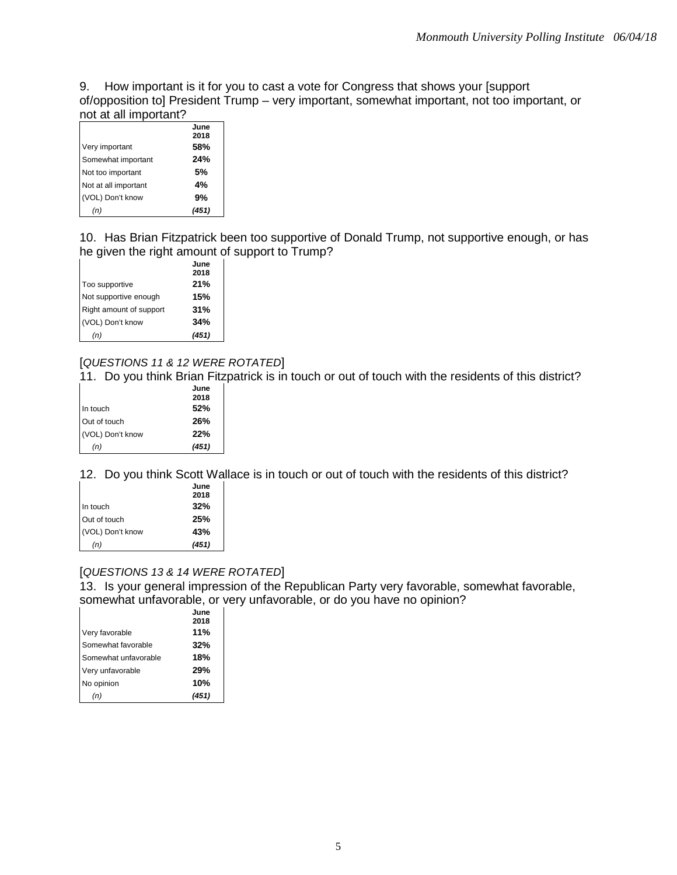9. How important is it for you to cast a vote for Congress that shows your [support of/opposition to] President Trump – very important, somewhat important, not too important, or not at all important?

|                      | June<br>2018 |
|----------------------|--------------|
| Very important       | 58%          |
| Somewhat important   | 24%          |
| Not too important    | 5%           |
| Not at all important | 4%           |
| (VOL) Don't know     | 9%           |
| (n)                  | (451)        |

10. Has Brian Fitzpatrick been too supportive of Donald Trump, not supportive enough, or has he given the right amount of support to Trump?

|                         | June  |
|-------------------------|-------|
|                         | 2018  |
| Too supportive          | 21%   |
| Not supportive enough   | 15%   |
| Right amount of support | 31%   |
| (VOL) Don't know        | 34%   |
| (n)                     | (451) |

# [*QUESTIONS 11 & 12 WERE ROTATED*]

11. Do you think Brian Fitzpatrick is in touch or out of touch with the residents of this district?

|                  | June<br>2018 |
|------------------|--------------|
| In touch         | 52%          |
| Out of touch     | 26%          |
| (VOL) Don't know | 22%          |
| (n)              | (451)        |

12. Do you think Scott Wallace is in touch or out of touch with the residents of this district?

|                  | June<br>2018 |
|------------------|--------------|
| In touch         | 32%          |
| Out of touch     | 25%          |
| (VOL) Don't know | 43%          |
| (n)              | (451)        |

## [*QUESTIONS 13 & 14 WERE ROTATED*]

13. Is your general impression of the Republican Party very favorable, somewhat favorable, somewhat unfavorable, or very unfavorable, or do you have no opinion?

|                      | June<br>2018 |
|----------------------|--------------|
| Very favorable       | 11%          |
| Somewhat favorable   | 32%          |
| Somewhat unfavorable | 18%          |
| Very unfavorable     | 29%          |
| No opinion           | 10%          |
| (n)                  | (451)        |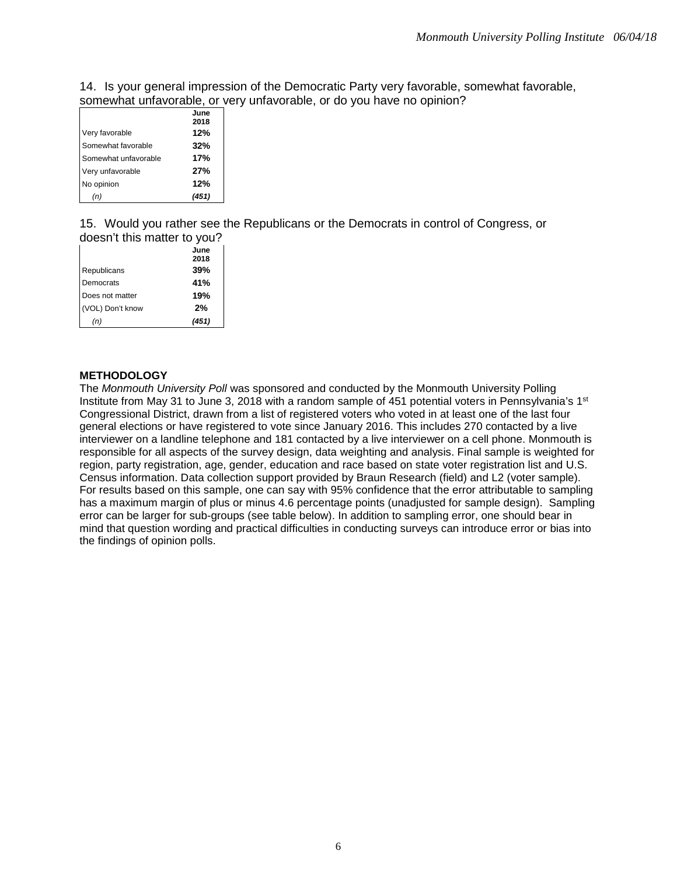14. Is your general impression of the Democratic Party very favorable, somewhat favorable, somewhat unfavorable, or very unfavorable, or do you have no opinion?

|                      | June<br>2018 |
|----------------------|--------------|
| Very favorable       | 12%          |
| Somewhat favorable   | 32%          |
| Somewhat unfavorable | 17%          |
| Very unfavorable     | 27%          |
| No opinion           | 12%          |
| (n)                  | (451)        |

15. Would you rather see the Republicans or the Democrats in control of Congress, or doesn't this matter to you?

|                  | June  |
|------------------|-------|
|                  | 2018  |
| Republicans      | 39%   |
| Democrats        | 41%   |
| Does not matter  | 19%   |
| (VOL) Don't know | 2%    |
| (n)              | (451) |

#### **METHODOLOGY**

The *Monmouth University Poll* was sponsored and conducted by the Monmouth University Polling Institute from May 31 to June 3, 2018 with a random sample of 451 potential voters in Pennsylvania's 1<sup>st</sup> Congressional District, drawn from a list of registered voters who voted in at least one of the last four general elections or have registered to vote since January 2016. This includes 270 contacted by a live interviewer on a landline telephone and 181 contacted by a live interviewer on a cell phone. Monmouth is responsible for all aspects of the survey design, data weighting and analysis. Final sample is weighted for region, party registration, age, gender, education and race based on state voter registration list and U.S. Census information. Data collection support provided by Braun Research (field) and L2 (voter sample). For results based on this sample, one can say with 95% confidence that the error attributable to sampling has a maximum margin of plus or minus 4.6 percentage points (unadjusted for sample design). Sampling error can be larger for sub-groups (see table below). In addition to sampling error, one should bear in mind that question wording and practical difficulties in conducting surveys can introduce error or bias into the findings of opinion polls.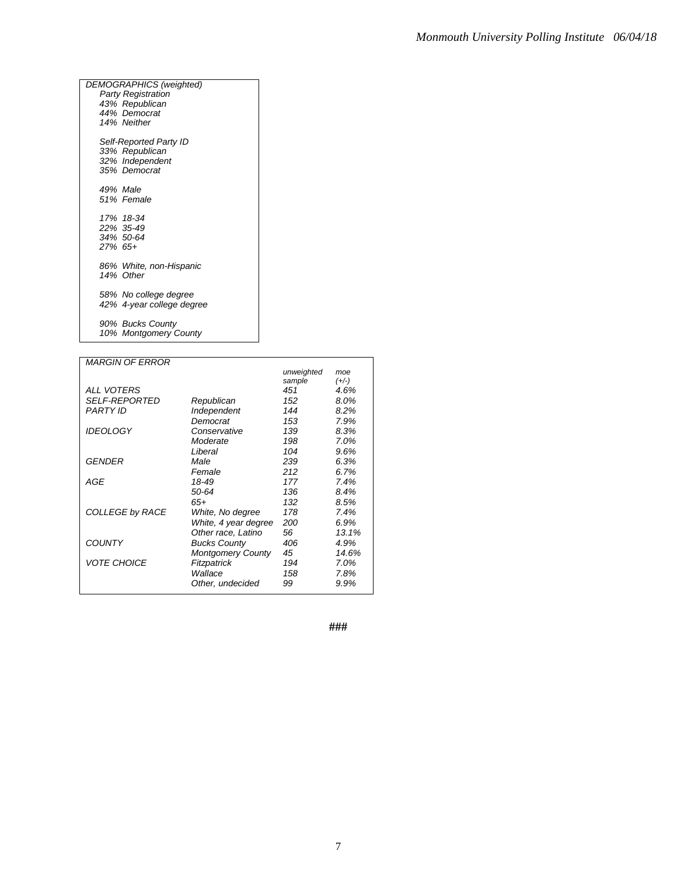|         | DEMOGRAPHICS (weighted)   |
|---------|---------------------------|
|         | <b>Party Registration</b> |
|         | 43% Republican            |
|         | 44% Democrat              |
|         | 14% Neither               |
|         |                           |
|         | Self-Reported Party ID    |
|         | 33% Republican            |
|         | 32% Independent           |
|         | 35% Democrat              |
|         |                           |
|         | 49% Male                  |
|         | 51% Female                |
|         | 17% 18-34                 |
|         | 22% 35-49                 |
|         | 34% 50-64                 |
| 27% 65+ |                           |
|         |                           |
|         | 86% White, non-Hispanic   |
|         | 14% Other                 |
|         |                           |
|         | 58% No college degree     |
|         | 42% 4-year college degree |
|         |                           |
|         | 90% Bucks County          |
|         | 10% Montgomery County     |
|         |                           |

#### *MARGIN OF ERROR*

|                          | unweighted | moe<br>$(+/-)$ |
|--------------------------|------------|----------------|
|                          | 451        | 4.6%           |
| Republican               | 152        | 8.0%           |
| Independent              | 144        | 8.2%           |
| Democrat                 | 153        | 7.9%           |
| Conservative             | 139        | 8.3%           |
| Moderate                 | 198        | 7.0%           |
| Liberal                  | 104        | 9.6%           |
| Male                     | 239        | 6.3%           |
| Female                   | 212        | 6.7%           |
| 18-49                    | 177        | 7.4%           |
| 50-64                    | 136        | 8.4%           |
| 65+                      | 132        | 8.5%           |
| White, No degree         | 178        | 7.4%           |
| White, 4 year degree     | 200        | 6.9%           |
| Other race, Latino       | 56         | 13.1%          |
| <b>Bucks County</b>      | 406        | 4.9%           |
| <b>Montgomery County</b> | 45         | 14.6%          |
| Fitzpatrick              | 194        | 7.0%           |
| Wallace                  | 158        | 7.8%           |
| Other, undecided         | 99         | 9.9%           |
|                          |            | sample         |

**###**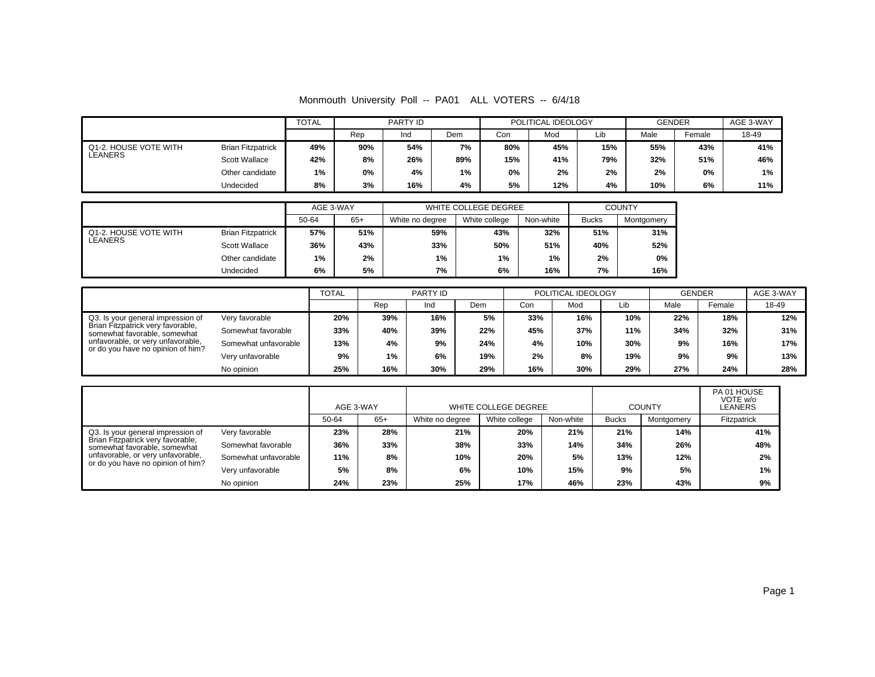|                                         |                          | <b>TOTAL</b> | PARTY ID |     | POLITICAL IDEOLOGY |     |     | <b>GENDER</b> |      | AGE 3-WAY |       |
|-----------------------------------------|--------------------------|--------------|----------|-----|--------------------|-----|-----|---------------|------|-----------|-------|
|                                         |                          |              | Rep      | Ind | Dem                | Con | Mod | Lib           | Male | Female    | 18-49 |
| Q1-2. HOUSE VOTE WITH<br><b>LEANERS</b> | <b>Brian Fitzpatrick</b> | 49%          | 90%      | 54% | 7%                 | 80% | 45% | 15%           | 55%  | 43%       | 41%   |
|                                         | Scott Wallace            | 42%          | 8%       | 26% | 89%                | 15% | 41% | 79%           | 32%  | 51%       | 46%   |
|                                         | Other candidate          | 1%           | 0%       | 4%  | 1%                 | 0%  | 2%  | 2%            | 2%   | 0%        | 1%    |
|                                         | Undecided                | 8%           | 3%       | 16% | 4%                 | 5%  | 12% | 4%            | 10%  | 6%        | 11%   |

|                                  |                          | AGE 3-WAY |       |                 | WHITE COLLEGE DEGREE | <b>COUNTY</b> |              |            |
|----------------------------------|--------------------------|-----------|-------|-----------------|----------------------|---------------|--------------|------------|
|                                  |                          | 50-64     | $65+$ | White no degree | White college        | Non-white     | <b>Bucks</b> | Montgomery |
| Q1-2. HOUSE VOTE WITH<br>LEANERS | <b>Brian Fitzpatrick</b> | 57%       | 51%   | 59%             | 43%                  | 32%           | 51%          | 31%        |
|                                  | <b>Scott Wallace</b>     | 36%       | 43%   | 33%             | 50%                  | 51%           | 40%          | 52%        |
|                                  | Other candidate          | 1%        | 2%    | 1%              | 1%                   | $1\%$         | 2%           | 0%         |
|                                  | Undecided                |           | 5%    | 7%              | 6%                   | 16%           | 7%           | 16%        |

|                                                                                                        |                      | <b>TOTAL</b> | PARTY ID |     |     | POLITICAL IDEOLOGY |     | <b>GENDER</b> |      | AGE 3-WAY |       |
|--------------------------------------------------------------------------------------------------------|----------------------|--------------|----------|-----|-----|--------------------|-----|---------------|------|-----------|-------|
|                                                                                                        |                      |              | Rep      | Ind | Dem | Con                | Mod | Lib           | Male | Female    | 18-49 |
| Q3. Is your general impression of<br>Brian Fitzpatrick very favorable,<br>somewhat favorable, somewhat | Very favorable       | 20%          | 39%      | 16% | 5%  | 33%                | 16% | 10%           | 22%  | 18%       | 12%   |
|                                                                                                        | Somewhat favorable   | 33%          | 40%      | 39% | 22% | 45%                | 37% | 11%           | 34%  | 32%       | 31%   |
| unfavorable, or very unfavorable,<br>or do you have no opinion of him?                                 | Somewhat unfavorable | 13%          | 4%       | 9%  | 24% | 4%                 | 10% | 30%           | 9%   | 16%       | 17%   |
|                                                                                                        | Very unfavorable     | 9%           | 1%       | 6%  | 19% | 2%                 | 8%  | 19%           | 9%   | 9%        | 13%   |
|                                                                                                        | No opinion           | 25%          | 16%      | 30% | 29% | 16%                | 30% | 29%           | 27%  | 24%       | 28%   |

|                                                                        |                      | AGE 3-WAY |       |                 | WHITE COLLEGE DEGREE |           |              | <b>COUNTY</b> | PA 01 HOUSE<br>VOTE w/o<br>LEANERS |
|------------------------------------------------------------------------|----------------------|-----------|-------|-----------------|----------------------|-----------|--------------|---------------|------------------------------------|
|                                                                        |                      | 50-64     | $65+$ | White no degree | White college        | Non-white | <b>Bucks</b> | Montgomery    | Fitzpatrick                        |
| Q3. Is your general impression of                                      | Very favorable       | 23%       | 28%   | 21%             | 20%                  | 21%       | 21%          | 14%           | 41%                                |
| Brian Fitzpatrick very favorable,<br>somewhat favorable, somewhat      | Somewhat favorable   | 36%       | 33%   | 38%             | 33%                  | 14%       | 34%          | 26%           | 48%                                |
| unfavorable, or very unfavorable,<br>or do you have no opinion of him? | Somewhat unfavorable | 11%       | 8%    | 10%             | 20%                  | 5%        | 13%          | 12%           | 2%                                 |
|                                                                        | Very unfavorable     | 5%        | 8%    | 6%              | 10%                  | 15%       | 9%           | 5%            | 1%                                 |
|                                                                        | No opinion           | 24%       | 23%   | 25%             | 17%                  | 46%       | 23%          | 43%           | 9%                                 |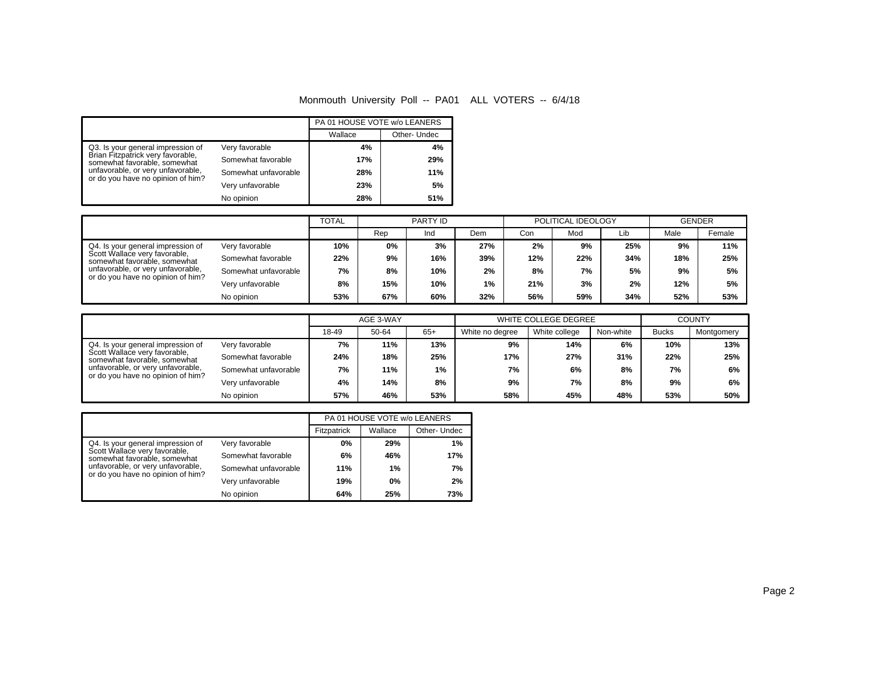|                                                                                                                                                                                  |                      | PA 01 HOUSE VOTE w/o LEANERS |             |  |  |
|----------------------------------------------------------------------------------------------------------------------------------------------------------------------------------|----------------------|------------------------------|-------------|--|--|
|                                                                                                                                                                                  |                      | Wallace                      | Other-Undec |  |  |
| Q3. Is your general impression of<br>Brian Fitzpatrick very favorable,<br>somewhat favorable, somewhat<br>unfavorable, or very unfavorable,<br>or do you have no opinion of him? | Very favorable       | 4%                           | 4%          |  |  |
|                                                                                                                                                                                  | Somewhat favorable   | 17%                          | 29%         |  |  |
|                                                                                                                                                                                  | Somewhat unfavorable | 28%                          | 11%         |  |  |
|                                                                                                                                                                                  | Very unfavorable     | 23%                          | 5%          |  |  |
|                                                                                                                                                                                  | No opinion           | 28%                          | 51%         |  |  |

|                                                                                                    |                      | <b>TOTAL</b> | PARTY ID |     | POLITICAL IDEOLOGY |     |     | <b>GENDER</b> |      |        |
|----------------------------------------------------------------------------------------------------|----------------------|--------------|----------|-----|--------------------|-----|-----|---------------|------|--------|
|                                                                                                    |                      |              | Rep      | Ind | Dem                | Con | Mod | Lib           | Male | Female |
| Q4. Is your general impression of<br>Scott Wallace very favorable.<br>somewhat favorable, somewhat | Very favorable       | 10%          | 0%       | 3%  | 27%                | 2%  | 9%  | 25%           | 9%   | 11%    |
|                                                                                                    | Somewhat favorable   | 22%          | 9%       | 16% | 39%                | 12% | 22% | 34%           | 18%  | 25%    |
| unfavorable, or very unfavorable,<br>or do you have no opinion of him?                             | Somewhat unfavorable | 7%           | 8%       | 10% | 2%                 | 8%  | 7%  | 5%            | 9%   | 5%     |
|                                                                                                    | Very unfavorable     | 8%           | 15%      | 10% | 1%                 | 21% | 3%  | 2%            | 12%  | 5%     |
|                                                                                                    | No opinion           | 53%          | 67%      | 60% | 32%                | 56% | 59% | 34%           | 52%  | 53%    |

|                                                                                                    |                      | AGE 3-WAY |       |       | WHITE COLLEGE DEGREE | <b>COUNTY</b> |           |              |            |
|----------------------------------------------------------------------------------------------------|----------------------|-----------|-------|-------|----------------------|---------------|-----------|--------------|------------|
|                                                                                                    |                      | 18-49     | 50-64 | $65+$ | White no degree      | White college | Non-white | <b>Bucks</b> | Montgomery |
| Q4. Is your general impression of<br>Scott Wallace very favorable.<br>somewhat favorable, somewhat | Very favorable       | 7%        | 11%   | 13%   | 9%                   | 14%           | 6%        | 10%          | 13%        |
|                                                                                                    | Somewhat favorable   | 24%       | 18%   | 25%   | 17%                  | 27%           | 31%       | 22%          | 25%        |
| unfavorable, or very unfavorable,<br>or do you have no opinion of him?                             | Somewhat unfavorable | 7%        | 11%   | $1\%$ | 7%                   | 6%            | 8%        | 7%           | 6%         |
|                                                                                                    | Very unfavorable     | 4%        | 14%   | 8%    | 9%                   | 7%            | 8%        | 9%           | 6%         |
|                                                                                                    | No opinion           | 57%       | 46%   | 53%   | 58%                  | 45%           | 48%       | 53%          | 50%        |

|                                                                                                    |                      |             | PA 01 HOUSE VOTE w/o LEANERS |             |
|----------------------------------------------------------------------------------------------------|----------------------|-------------|------------------------------|-------------|
|                                                                                                    |                      | Fitzpatrick | Wallace                      | Other-Undec |
| Q4. Is your general impression of<br>Scott Wallace very favorable,<br>somewhat favorable, somewhat | Very favorable       | 0%          | 29%                          | 1%          |
|                                                                                                    | Somewhat favorable   | 6%          | 46%                          | 17%         |
| unfavorable, or very unfavorable,                                                                  | Somewhat unfavorable | 11%         | 1%                           | 7%          |
| or do you have no opinion of him?                                                                  | Very unfavorable     | 19%         | 0%                           | 2%          |
|                                                                                                    | No opinion           | 64%         | 25%                          | 73%         |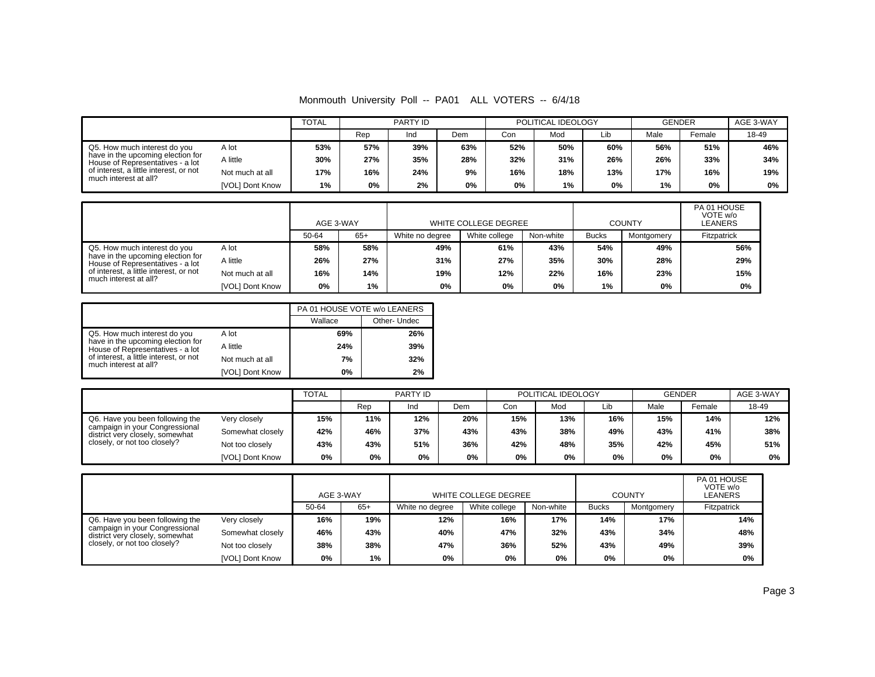Monmouth University Poll -- PA01 ALL VOTERS -- 6/4/18

|                                                                       |                 | <b>TOTAL</b> | PARTY ID |     |     | POLITICAL IDEOLOGY |     |     | <b>GENDER</b> | AGE 3-WAY |       |
|-----------------------------------------------------------------------|-----------------|--------------|----------|-----|-----|--------------------|-----|-----|---------------|-----------|-------|
|                                                                       |                 |              | Rep      | Ind | Dem | Con                | Mod | Lib | Male          | Female    | 18-49 |
| Q5. How much interest do you                                          | A lot           | 53%          | 57%      | 39% | 63% | 52%                | 50% | 60% | 56%           | 51%       | 46%   |
| have in the upcoming election for<br>House of Representatives - a lot | A little        | 30%          | 27%      | 35% | 28% | 32%                | 31% | 26% | 26%           | 33%       | 34%   |
| of interest, a little interest, or not<br>much interest at all?       | Not much at all | 17%          | 16%      | 24% | 9%  | 16%                | 18% | 13% | 17%           | 16%       | 19%   |
|                                                                       | [VOL] Dont Know | 1%           | 0%       | 2%  | 0%  | 0%                 | 1%  | 0%  | 1%            | 0%        | 0%    |

|                                                                       |                        | AGE 3-WAY |       |                 | WHITE COLLEGE DEGREE |           |              | <b>COUNTY</b> | PA 01 HOUSE<br>VOTE w/o<br>LEANERS |
|-----------------------------------------------------------------------|------------------------|-----------|-------|-----------------|----------------------|-----------|--------------|---------------|------------------------------------|
|                                                                       |                        | 50-64     | $65+$ | White no degree | White college        | Non-white | <b>Bucks</b> | Montgomery    | Fitzpatrick                        |
| Q5. How much interest do you                                          | A lot                  | 58%       | 58%   | 49%             | 61%                  | 43%       | 54%          | 49%           | 56%                                |
| have in the upcoming election for<br>House of Representatives - a lot | A little               | 26%       | 27%   | 31%             | 27%                  | 35%       | 30%          | 28%           | 29%                                |
| of interest, a little interest, or not<br>much interest at all?       | Not much at all        | 16%       | 14%   | 19%             | 12%                  | 22%       | 16%          | 23%           | 15%                                |
|                                                                       | <b>IVOLI Dont Know</b> | 0%        | 1%    | 0%              | 0%                   | 0%        | 1%           | 0%            | 0%                                 |

|                                                                       |                 | PA 01 HOUSE VOTE w/o LEANERS |             |
|-----------------------------------------------------------------------|-----------------|------------------------------|-------------|
|                                                                       |                 | Wallace                      | Other-Undec |
| Q5. How much interest do you                                          | A lot           | 69%                          | 26%         |
| have in the upcoming election for<br>House of Representatives - a lot | A little        | 24%                          | 39%         |
| of interest, a little interest, or not<br>much interest at all?       | Not much at all | 7%                           | 32%         |
|                                                                       | [VOL] Dont Know | 0%                           | 2%          |

|                                                                   |                  | <b>TOTAL</b> | PARTY ID |     |     | POLITICAL IDEOLOGY |     |     | <b>GENDER</b> | AGE 3-WAY |       |
|-------------------------------------------------------------------|------------------|--------------|----------|-----|-----|--------------------|-----|-----|---------------|-----------|-------|
|                                                                   |                  |              | Rep      | Ind | Dem | Con                | Mod | Lib | Male          | Female    | 18-49 |
| Q6. Have you been following the                                   | Very closely     | 15%          | 11%      | 12% | 20% | 15%                | 13% | 16% | 15%           | 14%       | 12%   |
| campaign in your Congressional<br>district very closely, somewhat | Somewhat closely | 42%          | 46%      | 37% | 43% | 43%                | 38% | 49% | 43%           | 41%       | 38%   |
| closely, or not too closely?                                      | Not too closely  | 43%          | 43%      | 51% | 36% | 42%                | 48% | 35% | 42%           | 45%       | 51%   |
|                                                                   | [VOL] Dont Know  | $0\%$        | 0%       | 0%  | 0%  | 0%                 | 0%  | 0%  | 0%            | 0%        | 0%    |

|                                                                   |                  | AGE 3-WAY |       |                 | WHITE COLLEGE DEGREE |           |              | <b>COUNTY</b> | PA 01 HOUSE<br>VOTE w/o<br>LEANERS |
|-------------------------------------------------------------------|------------------|-----------|-------|-----------------|----------------------|-----------|--------------|---------------|------------------------------------|
|                                                                   |                  | 50-64     | $65+$ | White no degree | White college        | Non-white | <b>Bucks</b> | Montgomery    | Fitzpatrick                        |
| Q6. Have you been following the                                   | Very closely     | 16%       | 19%   | 12%             | 16%                  | 17%       | 14%          | 17%           | 14%                                |
| campaign in your Congressional<br>district very closely, somewhat | Somewhat closely | 46%       | 43%   | 40%             | 47%                  | 32%       | 43%          | 34%           | 48%                                |
| closely, or not too closely?                                      | Not too closely  | 38%       | 38%   | 47%             | 36%                  | 52%       | 43%          | 49%           | 39%                                |
|                                                                   | [VOL] Dont Know  | 0%        | 1%    | 0%              | 0%                   | 0%        | 0%           | 0%            | $0\%$                              |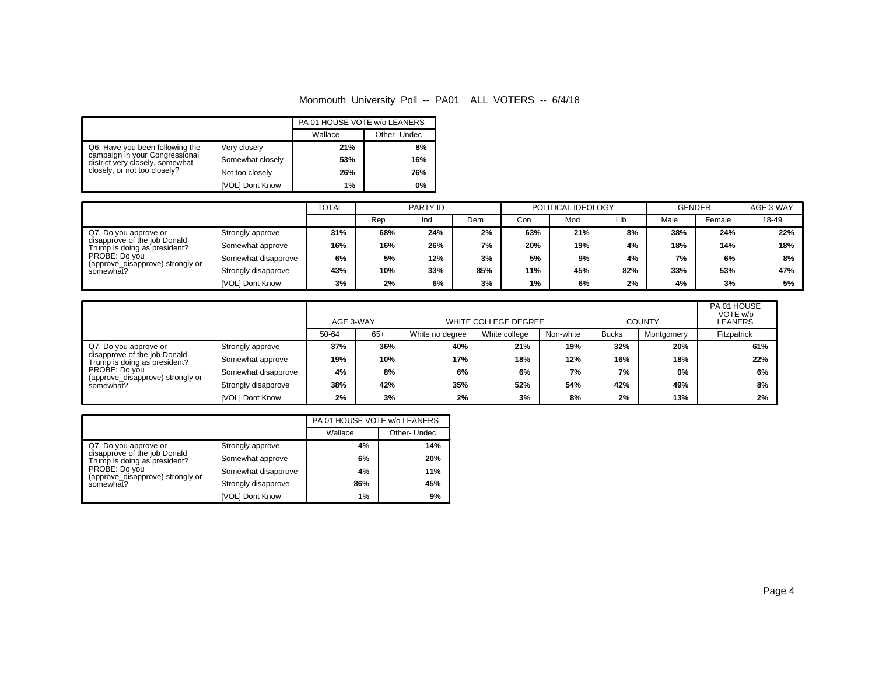|                                                                   |                  | PA 01 HOUSE VOTE w/o LEANERS |              |
|-------------------------------------------------------------------|------------------|------------------------------|--------------|
|                                                                   |                  | Wallace                      | Other- Undec |
| Q6. Have you been following the                                   | Very closely     | 21%                          | 8%           |
| campaign in your Congressional<br>district very closely, somewhat | Somewhat closely | 53%                          | 16%          |
| closely, or not too closely?                                      | Not too closely  | 26%                          | 76%          |
|                                                                   | [VOL] Dont Know  | 1%                           | 0%           |

|                                                              |                     | <b>TOTAL</b> | PARTY ID |     | POLITICAL IDEOLOGY |     |     | <b>GENDER</b> |      | AGE 3-WAY |       |
|--------------------------------------------------------------|---------------------|--------------|----------|-----|--------------------|-----|-----|---------------|------|-----------|-------|
|                                                              |                     |              | Rep      | Ind | Dem                | Con | Mod | Lib           | Male | Female    | 18-49 |
| Q7. Do you approve or                                        | Strongly approve    | 31%          | 68%      | 24% | 2%                 | 63% | 21% | 8%            | 38%  | 24%       | 22%   |
| disapprove of the job Donald<br>Trump is doing as president? | Somewhat approve    | 16%          | 16%      | 26% | 7%                 | 20% | 19% | 4%            | 18%  | 14%       | 18%   |
| PROBE: Do you                                                | Somewhat disapprove | 6%           | 5%       | 12% | 3%                 | 5%  | 9%  | 4%            | 7%   | 6%        | 8%    |
| (approve_disapprove) strongly or<br>somewhat?                | Strongly disapprove | 43%          | 10%      | 33% | 85%                | 11% | 45% | 82%           | 33%  | 53%       | 47%   |
|                                                              | [VOL] Dont Know     | 3%           | 2%       | 6%  | 3%                 | 1%  | 6%  | 2%            | 4%   | 3%        | 5%    |

|                                                              |                     | AGE 3-WAY |       | WHITE COLLEGE DEGREE |               |           | <b>COUNTY</b> | PA 01 HOUSE<br>VOTE w/o<br>LEANERS |             |
|--------------------------------------------------------------|---------------------|-----------|-------|----------------------|---------------|-----------|---------------|------------------------------------|-------------|
|                                                              |                     | 50-64     | $65+$ | White no degree      | White college | Non-white | <b>Bucks</b>  | Montgomery                         | Fitzpatrick |
| Q7. Do you approve or                                        | Strongly approve    | 37%       | 36%   | 40%                  | 21%           | 19%       | 32%           | 20%                                | 61%         |
| disapprove of the job Donald<br>Trump is doing as president? | Somewhat approve    | 19%       | 10%   | 17%                  | 18%           | 12%       | 16%           | 18%                                | 22%         |
| PROBE: Do you<br>(approve_disapprove) strongly or            | Somewhat disapprove | 4%        | 8%    | 6%                   | 6%            | 7%        | 7%            | 0%                                 | 6%          |
| somewhat?                                                    | Strongly disapprove | 38%       | 42%   | 35%                  | 52%           | 54%       | 42%           | 49%                                | 8%          |
|                                                              | [VOL] Dont Know     | 2%        | 3%    | 2%                   | 3%            | 8%        | 2%            | 13%                                | 2%          |

|                                                              |                     | PA 01 HOUSE VOTE w/o LEANERS |             |
|--------------------------------------------------------------|---------------------|------------------------------|-------------|
|                                                              |                     | Wallace                      | Other-Undec |
| Q7. Do you approve or                                        | Strongly approve    | 4%                           | 14%         |
| disapprove of the job Donald<br>Trump is doing as president? | Somewhat approve    | 6%                           | 20%         |
| PROBE: Do you<br>(approve_disapprove) strongly or            | Somewhat disapprove | 4%                           | 11%         |
| somewhat?                                                    | Strongly disapprove | 86%                          | 45%         |
|                                                              | [VOL] Dont Know     | 1%                           | 9%          |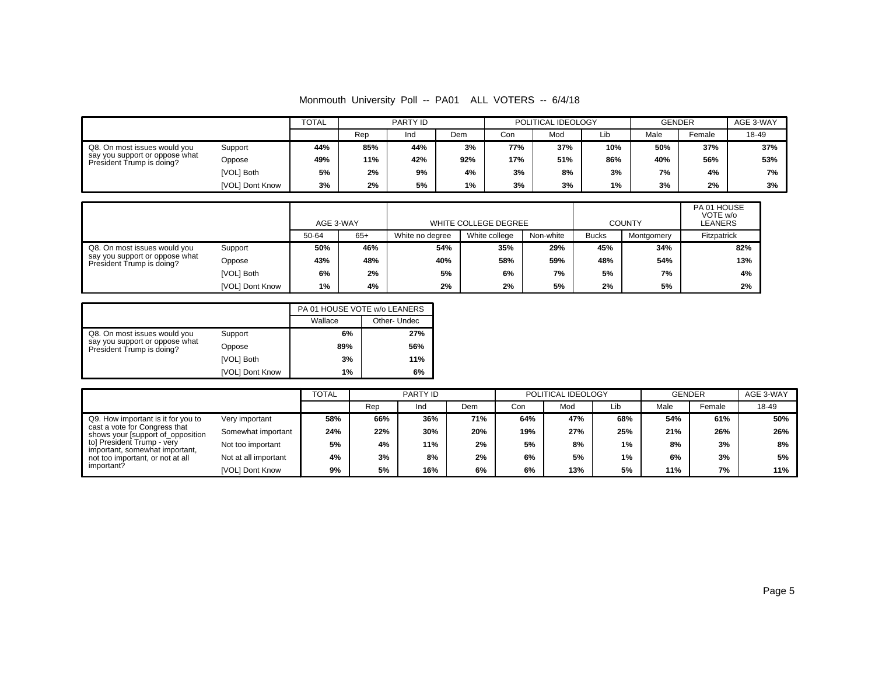Monmouth University Poll -- PA01 ALL VOTERS -- 6/4/18

|                                                             |                 | TOTAL | PARTY ID |     |       | POLITICAL IDEOLOGY |     |       | <b>GENDER</b> | AGE 3-WAY |       |
|-------------------------------------------------------------|-----------------|-------|----------|-----|-------|--------------------|-----|-------|---------------|-----------|-------|
|                                                             |                 |       | Rep      | Ind | Dem   | Con                | Mod | Lib   | Male          | Female    | 18-49 |
| Q8. On most issues would you                                | Support         | 44%   | 85%      | 44% | 3%    | 77%                | 37% | 10%   | 50%           | 37%       | 37%   |
| say you support or oppose what<br>President Trump is doing? | Oppose          | 49%   | 11%      | 42% | 92%   | 17%                | 51% | 86%   | 40%           | 56%       | 53%   |
|                                                             | [VOL] Both      | 5%    | 2%       | 9%  | 4%    | 3%                 | 8%  | 3%    | 7%            | 4%        | 7%    |
|                                                             | [VOL] Dont Know | 3%    | 2%       | 5%  | $1\%$ | 3%                 | 3%  | $1\%$ | 3%            | 2%        | 3%    |

|                                                             |                 | AGE 3-WAY |       |                 | WHITE COLLEGE DEGREE |           |              | <b>COUNTY</b> | PA 01 HOUSE<br>VOTE w/o<br>LEANERS |
|-------------------------------------------------------------|-----------------|-----------|-------|-----------------|----------------------|-----------|--------------|---------------|------------------------------------|
|                                                             |                 | 50-64     | $65+$ | White no degree | White college        | Non-white | <b>Bucks</b> | Montgomery    | Fitzpatrick                        |
| Q8. On most issues would you                                | Support         | 50%       | 46%   | 54%             | 35%                  | 29%       | 45%          | 34%           | 82%                                |
| say you support or oppose what<br>President Trump is doing? | Oppose          | 43%       | 48%   | 40%             | 58%                  | 59%       | 48%          | 54%           | 13%                                |
|                                                             | [VOL] Both      | 6%        | 2%    | 5%              | 6%                   | 7%        | 5%           | 7%            | 4%                                 |
|                                                             | [VOL] Dont Know | 1%        | 4%    | 2%              | 2%                   | 5%        | 2%           | 5%            | 2%                                 |

|                                                             |                 | PA 01 HOUSE VOTE w/o LEANERS |             |
|-------------------------------------------------------------|-----------------|------------------------------|-------------|
|                                                             |                 | Wallace                      | Other-Undec |
| Q8. On most issues would you                                | Support         | 6%                           | 27%         |
| say you support or oppose what<br>President Trump is doing? | Oppose          | 89%                          | 56%         |
|                                                             | [VOL] Both      | 3%                           | 11%         |
|                                                             | [VOL] Dont Know | 1%                           | 6%          |

|                                                                    |                      | <b>TOTAL</b> | PARTY ID |     | POLITICAL IDEOLOGY |     |     | <b>GENDER</b> |      | AGE 3-WAY |       |
|--------------------------------------------------------------------|----------------------|--------------|----------|-----|--------------------|-----|-----|---------------|------|-----------|-------|
|                                                                    |                      |              | Rep      | Ind | Dem                | Con | Mod | Lib           | Male | Female    | 18-49 |
| Q9. How important is it for you to                                 | Very important       | 58%          | 66%      | 36% | 71%                | 64% | 47% | 68%           | 54%  | 61%       | 50%   |
| cast a vote for Congress that<br>shows your [support of_opposition | Somewhat important   | 24%          | 22%      | 30% | 20%                | 19% | 27% | 25%           | 21%  | 26%       | 26%   |
| to] President Trump - very<br>important, somewhat important,       | Not too important    | 5%           | 4%       | 11% | 2%                 | 5%  | 8%  | 1%            | 8%   | 3%        | 8%    |
| not too important, or not at all                                   | Not at all important | 4%           | 3%       | 8%  | 2%                 | 6%  | 5%  | 1%            | 6%   | 3%        | 5%    |
| important?                                                         | [VOL] Dont Know      | 9%           | 5%       | 16% | 6%                 | 6%  | 13% | 5%            | 11%  | 7%        | 11%   |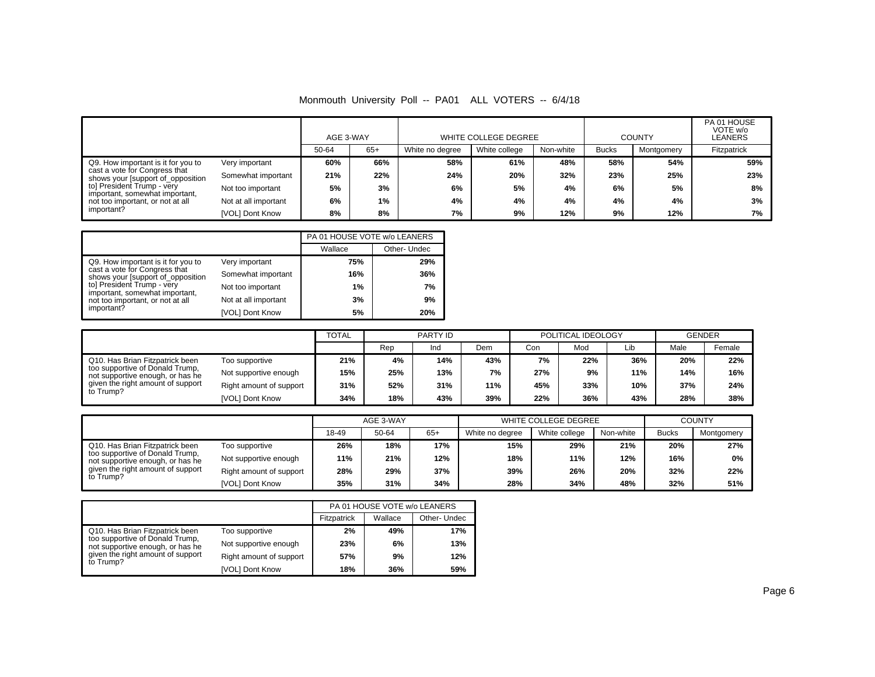|                                                                    |                      | AGE 3-WAY |       | WHITE COLLEGE DEGREE |               |           |              | <b>COUNTY</b> | PA 01 HOUSE<br>VOTE w/o<br>LEANERS |
|--------------------------------------------------------------------|----------------------|-----------|-------|----------------------|---------------|-----------|--------------|---------------|------------------------------------|
|                                                                    |                      | 50-64     | $65+$ | White no degree      | White college | Non-white | <b>Bucks</b> | Montgomery    | Fitzpatrick                        |
| Q9. How important is it for you to                                 | Very important       | 60%       | 66%   | 58%                  | 61%           | 48%       | 58%          | 54%           | 59%                                |
| cast a vote for Congress that<br>shows your [support of_opposition | Somewhat important   | 21%       | 22%   | 24%                  | 20%           | 32%       | 23%          | 25%           | 23%                                |
| to] President Trump - very<br>important, somewhat important,       | Not too important    | 5%        | 3%    | 6%                   | 5%            | 4%        | 6%           | 5%            | 8%                                 |
| not too important, or not at all                                   | Not at all important | 6%        | 1%    | 4%                   | 4%            | 4%        | 4%           | 4%            | 3%                                 |
| important?                                                         | [VOL] Dont Know      | 8%        | 8%    | 7%                   | 9%            | 12%       | 9%           | 12%           | 7%                                 |

|                                                                    |                      | PA 01 HOUSE VOTE w/o LEANERS |             |
|--------------------------------------------------------------------|----------------------|------------------------------|-------------|
|                                                                    |                      | Wallace                      | Other-Undec |
| Q9. How important is it for you to                                 | Very important       | 75%                          | 29%         |
| cast a vote for Congress that<br>shows your [support of_opposition | Somewhat important   | 16%                          | 36%         |
| to] President Trump - very<br>important, somewhat important,       | Not too important    | 1%                           | 7%          |
| not too important, or not at all                                   | Not at all important | 3%                           | 9%          |
| important?                                                         | [VOL] Dont Know      | 5%                           | 20%         |

|                                                                     |                         | <b>TOTAL</b> | PARTY ID |     |     |     | POLITICAL IDEOLOGY | <b>GENDER</b> |      |        |
|---------------------------------------------------------------------|-------------------------|--------------|----------|-----|-----|-----|--------------------|---------------|------|--------|
|                                                                     |                         |              | Rep      | Ind | Dem | Con | Mod                | Lib           | Male | Female |
| Q10. Has Brian Fitzpatrick been                                     | Too supportive          | 21%          | 4%       | 14% | 43% | 7%  | 22%                | 36%           | 20%  | 22%    |
| too supportive of Donald Trump,<br>not supportive enough, or has he | Not supportive enough   | 15%          | 25%      | 13% | 7%  | 27% | 9%                 | 11%           | 14%  | 16%    |
| given the right amount of support<br>to Trump?                      | Right amount of support | 31%          | 52%      | 31% | 11% | 45% | 33%                | 10%           | 37%  | 24%    |
|                                                                     | [VOL] Dont Know         | 34%          | 18%      | 43% | 39% | 22% | 36%                | 43%           | 28%  | 38%    |

|                                                                     |                         | AGE 3-WAY |       |       |                 | WHITE COLLEGE DEGREE |           | <b>COUNTY</b> |            |
|---------------------------------------------------------------------|-------------------------|-----------|-------|-------|-----------------|----------------------|-----------|---------------|------------|
|                                                                     |                         | 18-49     | 50-64 | $65+$ | White no degree | White college        | Non-white | <b>Bucks</b>  | Montgomery |
| Q10. Has Brian Fitzpatrick been                                     | Too supportive          | 26%       | 18%   | 17%   | 15%             | 29%                  | 21%       | 20%           | 27%        |
| too supportive of Donald Trump,<br>not supportive enough, or has he | Not supportive enough   | 11%       | 21%   | 12%   | 18%             | 11%                  | 12%       | 16%           | 0%         |
| given the right amount of support                                   | Right amount of support | 28%       | 29%   | 37%   | 39%             | 26%                  | 20%       | 32%           | 22%        |
| to Trump?                                                           | [VOL] Dont Know         | 35%       | 31%   | 34%   | 28%             | 34%                  | 48%       | 32%           | 51%        |

|                                                                     |                         |             | PA 01 HOUSE VOTE w/o LEANERS |              |
|---------------------------------------------------------------------|-------------------------|-------------|------------------------------|--------------|
|                                                                     |                         | Fitzpatrick | Wallace                      | Other- Undec |
| Q10. Has Brian Fitzpatrick been                                     | Too supportive          | 2%          | 49%                          | 17%          |
| too supportive of Donald Trump,<br>not supportive enough, or has he | Not supportive enough   | 23%         | 6%                           | 13%          |
| given the right amount of support<br>to Trump?                      | Right amount of support | 57%         | 9%                           | 12%          |
|                                                                     | [VOL] Dont Know         | 18%         | 36%                          | 59%          |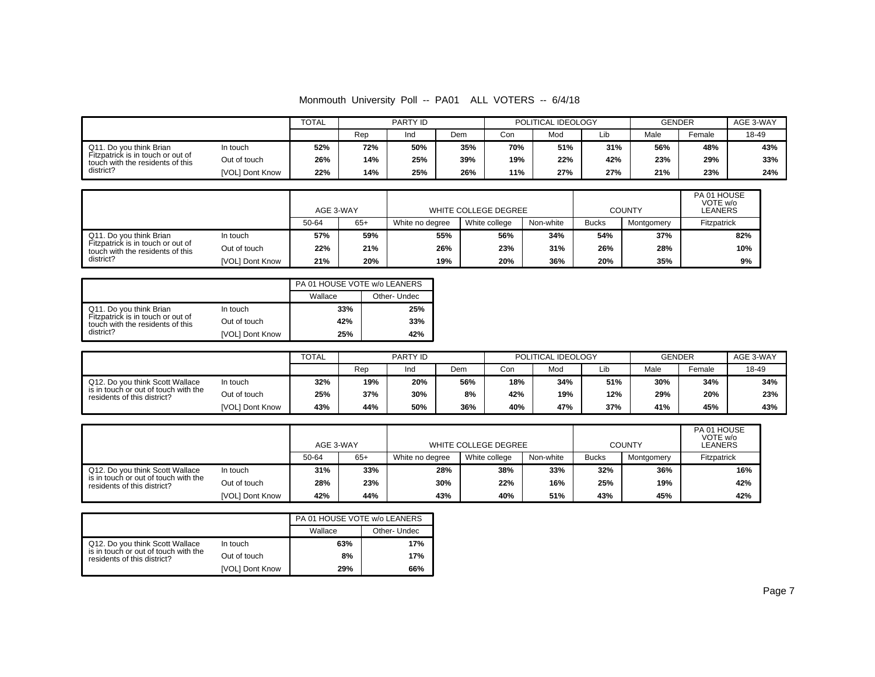|                                                                       |                 | <b>TOTAL</b> | PARTY ID |     | POLITICAL IDEOLOGY |     |     | <b>GENDER</b> |      | AGE 3-WAY          |       |
|-----------------------------------------------------------------------|-----------------|--------------|----------|-----|--------------------|-----|-----|---------------|------|--------------------|-------|
|                                                                       |                 |              | Rep      | Ind | Dem                | Con | Mod | Lib           | Male | <sup>=</sup> emale | 18-49 |
| Q11. Do you think Brian                                               | In touch        | 52%          | 72%      | 50% | 35%                | 70% | 51% | 31%           | 56%  | 48%                | 43%   |
| Fitzpatrick is in touch or out of<br>touch with the residents of this | Out of touch    | 26%          | 14%      | 25% | 39%                | 19% | 22% | 42%           | 23%  | 29%                | 33%   |
| district?                                                             | [VOL] Dont Know | 22%          | 14%      | 25% | 26%                | 11% | 27% | 27%           | 21%  | 23%                | 24%   |

|                                                                       |                        | AGE 3-WAY |       | WHITE COLLEGE DEGREE |               |           |              | <b>COUNTY</b> | PA 01 HOUSE<br>VOTE w/o<br>LEANERS |
|-----------------------------------------------------------------------|------------------------|-----------|-------|----------------------|---------------|-----------|--------------|---------------|------------------------------------|
|                                                                       |                        | 50-64     | $65+$ | White no degree      | White college | Non-white | <b>Bucks</b> | Montgomery    | Fitzpatrick                        |
| Q11. Do you think Brian                                               | In touch               | 57%       | 59%   | 55%                  | 56%           | 34%       | 54%          | 37%           | 82%                                |
| Fitzpatrick is in touch or out of<br>touch with the residents of this | Out of touch           | 22%       | 21%   | 26%                  | 23%           | 31%       | 26%          | 28%           | 10%                                |
| district?                                                             | <b>IVOLI Dont Know</b> | 21%       | 20%   | 19%                  | 20%           | 36%       | 20%          | 35%           | 9%                                 |

|                                                                       |                 | PA 01 HOUSE VOTE w/o LEANERS |             |
|-----------------------------------------------------------------------|-----------------|------------------------------|-------------|
|                                                                       |                 | Wallace                      | Other-Undec |
| Q11. Do you think Brian                                               | In touch        | 33%                          | 25%         |
| Fitzpatrick is in touch or out of<br>touch with the residents of this | Out of touch    | 42%                          | 33%         |
| district?                                                             | [VOL] Dont Know | 25%                          | 42%         |

|                                                                     |                 | <b>TOTAL</b><br>PARTY ID |     | POLITICAL IDEOLOGY |     |     | <b>GENDER</b> |     | AGE 3-WAY |        |       |
|---------------------------------------------------------------------|-----------------|--------------------------|-----|--------------------|-----|-----|---------------|-----|-----------|--------|-------|
|                                                                     |                 |                          | Rep | Ind                | Dem | Con | Moc           | Lib | Male      | Female | 18-49 |
| Q12. Do you think Scott Wallace                                     | In touch        | 32%                      | 19% | 20%                | 56% | 18% | 34%           | 51% | 30%       | 34%    | 34%   |
| is in touch or out of touch with the<br>residents of this district? | Out of touch    | 25%                      | 37% | 30%                | 8%  | 42% | 19%           | 12% | 29%       | 20%    | 23%   |
|                                                                     | [VOL] Dont Know | 43%                      | 44% | 50%                | 36% | 40% | 47%           | 37% | 41%       | 45%    | 43%   |

|                                                                     |                        | AGE 3-WAY |       | WHITE COLLEGE DEGREE |               |           |              | <b>COUNTY</b> | PA 01 HOUSE<br>VOTE w/o<br>LEANERS |
|---------------------------------------------------------------------|------------------------|-----------|-------|----------------------|---------------|-----------|--------------|---------------|------------------------------------|
|                                                                     |                        | 50-64     | $65+$ | White no degree      | White college | Non-white | <b>Bucks</b> | Montgomery    | Fitzpatrick                        |
| Q12. Do you think Scott Wallace                                     | In touch               | 31%       | 33%   | 28%                  | 38%           | 33%       | 32%          | 36%           | 16%                                |
| is in touch or out of touch with the<br>residents of this district? | Out of touch           | 28%       | 23%   | 30%                  | 22%           | 16%       | 25%          | 19%           | 42%                                |
|                                                                     | <b>IVOLI Dont Know</b> | 42%       | 44%   | 43%                  | 40%           | 51%       | 43%          | 45%           | 42%                                |

|                                                                     |                        | PA 01 HOUSE VOTE w/o LEANERS |             |
|---------------------------------------------------------------------|------------------------|------------------------------|-------------|
|                                                                     |                        | Wallace                      | Other-Undec |
| Q12. Do you think Scott Wallace                                     | In touch               | 63%                          | 17%         |
| is in touch or out of touch with the<br>residents of this district? | Out of touch           | 8%                           | 17%         |
|                                                                     | <b>IVOLI Dont Know</b> | 29%                          | 66%         |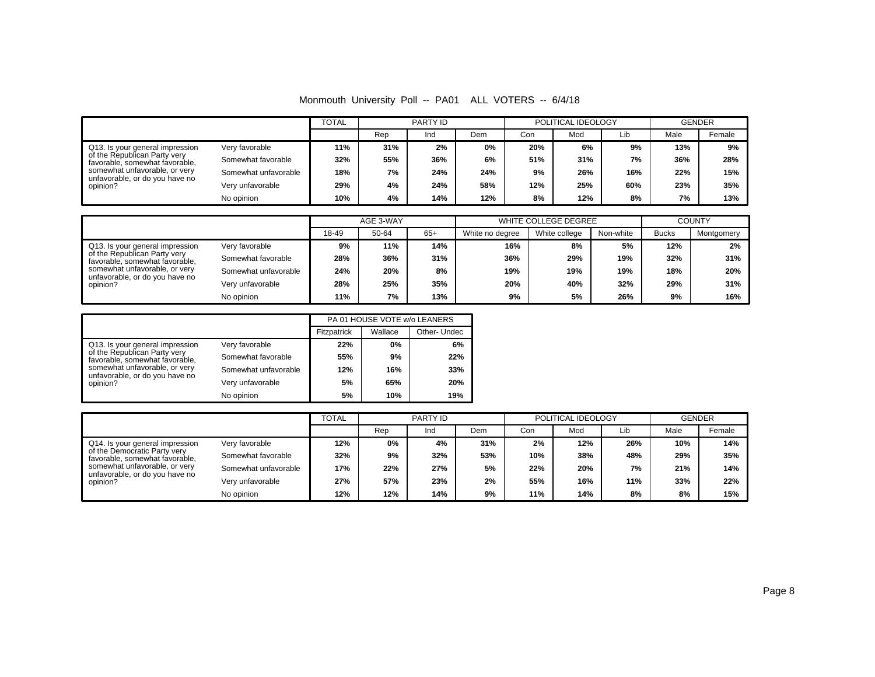Monmouth University Poll -- PA01 ALL VOTERS -- 6/4/18

|                                                                                                   |                      | <b>TOTAL</b><br>PARTY ID |     |     |     | POLITICAL IDEOLOGY | <b>GENDER</b> |     |      |        |
|---------------------------------------------------------------------------------------------------|----------------------|--------------------------|-----|-----|-----|--------------------|---------------|-----|------|--------|
|                                                                                                   |                      |                          | Rep | Ind | Dem | Con                | Mod           | Lib | Male | Female |
| Q13. Is your general impression<br>of the Republican Party very<br>favorable, somewhat favorable, | Very favorable       | 11%                      | 31% | 2%  | 0%  | 20%                | 6%            | 9%  | 13%  | 9%     |
|                                                                                                   | Somewhat favorable   | 32%                      | 55% | 36% | 6%  | 51%                | 31%           | 7%  | 36%  | 28%    |
| somewhat unfavorable, or very                                                                     | Somewhat unfavorable | 18%                      | 7%  | 24% | 24% | 9%                 | 26%           | 16% | 22%  | 15%    |
| unfavorable, or do you have no<br>opinion?                                                        | Very unfavorable     | 29%                      | 4%  | 24% | 58% | 12%                | 25%           | 60% | 23%  | 35%    |
|                                                                                                   | No opinion           | 10%                      | 4%  | 14% | 12% | 8%                 | 12%           | 8%  | 7%   | 13%    |

|                                                                                                                                                                                                                        |                      | AGE 3-WAY |       |       | WHITE COLLEGE DEGREE | <b>COUNTY</b> |           |              |            |
|------------------------------------------------------------------------------------------------------------------------------------------------------------------------------------------------------------------------|----------------------|-----------|-------|-------|----------------------|---------------|-----------|--------------|------------|
|                                                                                                                                                                                                                        |                      | 18-49     | 50-64 | $65+$ | White no degree      | White college | Non-white | <b>Bucks</b> | Montgomery |
| Very favorable<br>Q13. Is your general impression<br>of the Republican Party very<br>favorable, somewhat favorable,<br>somewhat unfavorable, or very<br>unfavorable, or do you have no<br>Very unfavorable<br>opinion? |                      | 9%        | 11%   | 14%   | 16%                  | 8%            | 5%        | 12%          | 2%         |
|                                                                                                                                                                                                                        | Somewhat favorable   | 28%       | 36%   | 31%   | 36%                  | 29%           | 19%       | 32%          | 31%        |
|                                                                                                                                                                                                                        | Somewhat unfavorable | 24%       | 20%   | 8%    | 19%                  | 19%           | 19%       | 18%          | 20%        |
|                                                                                                                                                                                                                        |                      | 28%       | 25%   | 35%   | 20%                  | 40%           | 32%       | 29%          | 31%        |
|                                                                                                                                                                                                                        | No opinion           | 11%       | 7%    | 13%   | 9%                   | 5%            | 26%       | 9%           | 16%        |

|                                                                |                      |             | PA 01 HOUSE VOTE w/o LEANERS |              |
|----------------------------------------------------------------|----------------------|-------------|------------------------------|--------------|
|                                                                |                      | Fitzpatrick | Wallace                      | Other- Undec |
| Q13. Is your general impression                                | Very favorable       | 22%         | 0%                           | 6%           |
| of the Republican Party very<br>favorable, somewhat favorable, | Somewhat favorable   | 55%         | 9%                           | 22%          |
| somewhat unfavorable, or very                                  | Somewhat unfavorable | 12%         | 16%                          | 33%          |
| unfavorable, or do you have no<br>opinion?                     | Very unfavorable     | 5%          | 65%                          | 20%          |
|                                                                | No opinion           | 5%          | 10%                          | 19%          |

|                                                                                                                                                                                  |                      |     | <b>TOTAL</b><br>PARTY ID |     |     | POLITICAL IDEOLOGY |     |     | <b>GENDER</b> |        |
|----------------------------------------------------------------------------------------------------------------------------------------------------------------------------------|----------------------|-----|--------------------------|-----|-----|--------------------|-----|-----|---------------|--------|
|                                                                                                                                                                                  |                      |     | Rep                      | Ind | Dem | Con                | Mod | Lib | Male          | Female |
| Q14. Is your general impression<br>of the Democratic Party very<br>favorable, somewhat favorable,<br>somewhat unfavorable, or very<br>unfavorable, or do you have no<br>opinion? | Very favorable       | 12% | 0%                       | 4%  | 31% | 2%                 | 12% | 26% | 10%           | 14%    |
|                                                                                                                                                                                  | Somewhat favorable   | 32% | 9%                       | 32% | 53% | 10%                | 38% | 48% | 29%           | 35%    |
|                                                                                                                                                                                  | Somewhat unfavorable | 17% | 22%                      | 27% | 5%  | 22%                | 20% | 7%  | 21%           | 14%    |
|                                                                                                                                                                                  | Very unfavorable     | 27% | 57%                      | 23% | 2%  | 55%                | 16% | 11% | 33%           | 22%    |
|                                                                                                                                                                                  | No opinion           | 12% | 12%                      | 14% | 9%  | 11%                | 14% | 8%  | 8%            | 15%    |